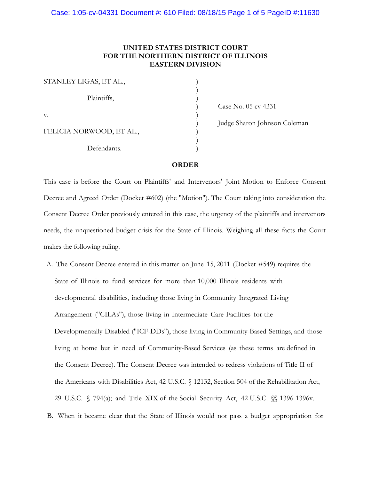# **UNITED STATES DISTRICT COURT FOR THE NORTHERN DISTRICT OF ILLINOIS EASTERN DIVISION**

| STANLEY LIGAS, ET AL.,   |  |
|--------------------------|--|
| Plaintiffs,              |  |
| V.                       |  |
| FELICIA NORWOOD, ET AL., |  |
| Defendants.              |  |

) Case No. 05 cv 4331

) Judge Sharon Johnson Coleman

# **ORDER**

This case is before the Court on Plaintiffs' and Intervenors' Joint Motion to Enforce Consent Decree and Agreed Order (Docket #602) (the "Motion"). The Court taking into consideration the Consent Decree Order previously entered in this case, the urgency of the plaintiffs and intervenors needs, the unquestioned budget crisis for the State of Illinois. Weighing all these facts the Court makes the following ruling.

- A. The Consent Decree entered in this matter on June 15, 2011 (Docket #549) requires the State of Illinois to fund services for more than 10,000 Illinois residents with developmental disabilities, including those living in Community Integrated Living Arrangement ("CILAs"), those living in Intermediate Care Facilities for the Developmentally Disabled ("ICF-DDs"), those living in Community-Based Settings, and those living at home but in need of Community-Based Services (as these terms are defined in the Consent Decree). The Consent Decree was intended to redress violations of Title II of the Americans with Disabilities Act, 42 U.S.C. § 12132, Section 504 of the Rehabilitation Act, 29 U.S.C. § 794(a); and Title XIX of the Social Security Act, 42 U.S.C. §§ 1396-1396v.
- B. When it became clear that the State of Illinois would not pass a budget appropriation for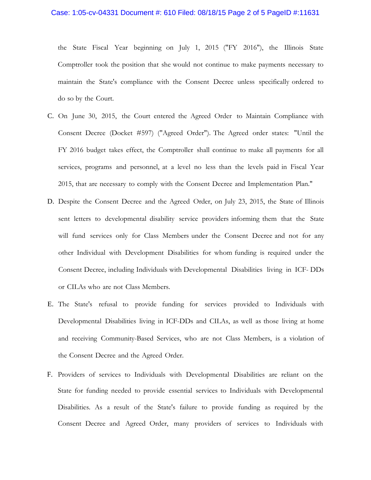### Case: 1:05-cv-04331 Document #: 610 Filed: 08/18/15 Page 2 of 5 PageID #:11631

the State Fiscal Year beginning on July 1, 2015 ("FY 2016"), the Illinois State Comptroller took the position that she would not continue to make payments necessary to maintain the State's compliance with the Consent Decree unless specifically ordered to do so by the Court.

- C. On June 30, 2015, the Court entered the Agreed Order to Maintain Compliance with Consent Decree (Docket #597) ("Agreed Order"). The Agreed order states: "Until the FY 2016 budget takes effect, the Comptroller shall continue to make all payments for all services, programs and personnel, at a level no less than the levels paid in Fiscal Year 2015, that are necessary to comply with the Consent Decree and Implementation Plan."
- D. Despite the Consent Decree and the Agreed Order, on July 23, 2015, the State of Illinois sent letters to developmental disability service providers informing them that the State will fund services only for Class Members under the Consent Decree and not for any other Individual with Development Disabilities for whom funding is required under the Consent Decree, including Individuals with Developmental Disabilities living in ICF DDs or CILAs who are not Class Members.
- E. The State's refusal to provide funding for services provided to Individuals with Developmental Disabilities living in ICF-DDs and CILAs, as well as those living at home and receiving Community-Based Services, who are not Class Members, is a violation of the Consent Decree and the Agreed Order.
- F. Providers of services to Individuals with Developmental Disabilities are reliant on the State for funding needed to provide essential services to Individuals with Developmental Disabilities. As a result of the State's failure to provide funding as required by the Consent Decree and Agreed Order, many providers of services to Individuals with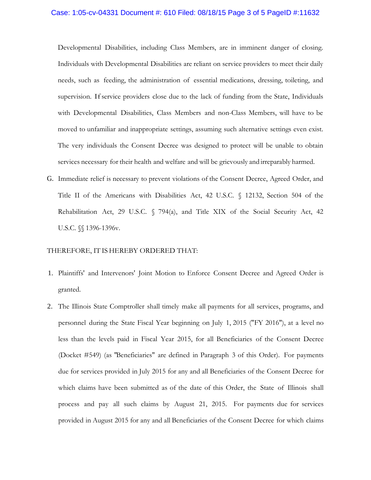#### Case: 1:05-cv-04331 Document #: 610 Filed: 08/18/15 Page 3 of 5 PageID #:11632

Developmental Disabilities, including Class Members, are in imminent danger of closing. Individuals with Developmental Disabilities are reliant on service providers to meet their daily needs, such as feeding, the administration of essential medications, dressing, toileting, and supervision. If service providers close due to the lack of funding from the State, Individuals with Developmental Disabilities, Class Members and non-Class Members, will have to be moved to unfamiliar and inappropriate settings, assuming such alternative settings even exist. The very individuals the Consent Decree was designed to protect will be unable to obtain services necessary for their health and welfare and will be grievously and irreparably harmed.

G. Immediate relief is necessary to prevent violations of the Consent Decree, Agreed Order, and Title II of the Americans with Disabilities Act, 42 U.S.C. § 12132, Section 504 of the Rehabilitation Act, 29 U.S.C.  $\sqrt{ }$  794(a), and Title XIX of the Social Security Act, 42 U.S.C. §§ 1396-1396v.

## THEREFORE, IT IS HEREBY ORDERED THAT:

- 1. Plaintiffs' and Intervenors' Joint Motion to Enforce Consent Decree and Agreed Order is granted.
- 2. The Illinois State Comptroller shall timely make all payments for all services, programs, and personnel during the State Fiscal Year beginning on July 1, 2015 ("FY 2016"), at a level no less than the levels paid in Fiscal Year 2015, for all Beneficiaries of the Consent Decree (Docket #549) (as "Beneficiaries" are defined in Paragraph 3 of this Order). For payments due for services provided in July 2015 for any and all Beneficiaries of the Consent Decree for which claims have been submitted as of the date of this Order, the State of Illinois shall process and pay all such claims by August 21, 2015. For payments due for services provided in August 2015 for any and all Beneficiaries of the Consent Decree for which claims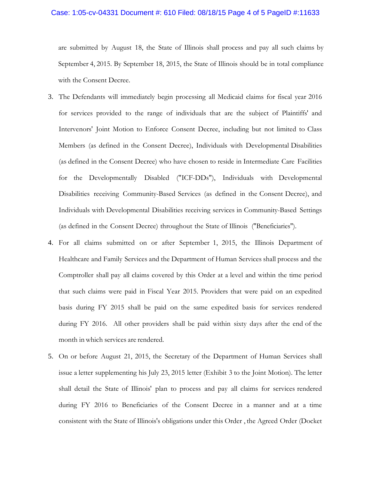### Case: 1:05-cv-04331 Document #: 610 Filed: 08/18/15 Page 4 of 5 PageID #:11633

are submitted by August 18, the State of Illinois shall process and pay all such claims by September 4, 2015. By September 18, 2015, the State of Illinois should be in total compliance with the Consent Decree.

- 3. The Defendants will immediately begin processing all Medicaid claims for fiscal year 2016 for services provided to the range of individuals that are the subject of Plaintiffs' and Intervenors' Joint Motion to Enforce Consent Decree, including but not limited to Class Members (as defined in the Consent Decree), Individuals with Developmental Disabilities (as defined in the Consent Decree) who have chosen to reside in Intermediate Care Facilities for the Developmentally Disabled ("ICF-DDs"), Individuals with Developmental Disabilities receiving Community-Based Services (as defined in the Consent Decree), and Individuals with Developmental Disabilities receiving services in Community-Based Settings (as defined in the Consent Decree) throughout the State of Illinois ("Beneficiaries").
- 4. For all claims submitted on or after September 1, 2015, the Illinois Department of Healthcare and Family Services and the Department of Human Services shall process and the Comptroller shall pay all claims covered by this Order at a level and within the time period that such claims were paid in Fiscal Year 2015. Providers that were paid on an expedited basis during FY 2015 shall be paid on the same expedited basis for services rendered during FY 2016. All other providers shall be paid within sixty days after the end of the month in which services are rendered.
- 5. On or before August 21, 2015, the Secretary of the Department of Human Services shall issue a letter supplementing his July 23, 2015 letter (Exhibit 3 to the Joint Motion). The letter shall detail the State of Illinois' plan to process and pay all claims for services rendered during FY 2016 to Beneficiaries of the Consent Decree in a manner and at a time consistent with the State of Illinois's obligations under this Order , the Agreed Order (Docket